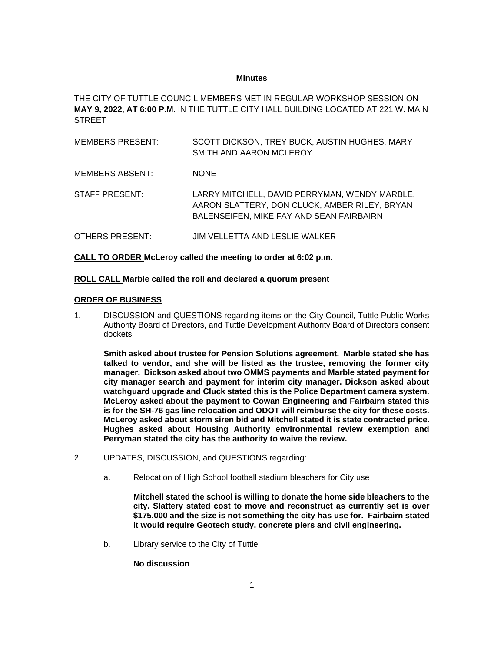#### **Minutes**

THE CITY OF TUTTLE COUNCIL MEMBERS MET IN REGULAR WORKSHOP SESSION ON **MAY 9, 2022, AT 6:00 P.M.** IN THE TUTTLE CITY HALL BUILDING LOCATED AT 221 W. MAIN **STREET** 

| MEMBERS PRESENT: | SCOTT DICKSON, TREY BUCK, AUSTIN HUGHES, MARY<br>SMITH AND AARON MCLEROY                                                                   |
|------------------|--------------------------------------------------------------------------------------------------------------------------------------------|
| MEMBERS ABSENT:  | <b>NONE</b>                                                                                                                                |
| STAFF PRESENT:   | LARRY MITCHELL, DAVID PERRYMAN, WENDY MARBLE,<br>AARON SLATTERY, DON CLUCK, AMBER RILEY, BRYAN<br>BALENSEIFEN, MIKE FAY AND SEAN FAIRBAIRN |
| OTHERS PRESENT:  | JIM VELLETTA AND LESLIE WALKER                                                                                                             |

**CALL TO ORDER McLeroy called the meeting to order at 6:02 p.m.**

### **ROLL CALL Marble called the roll and declared a quorum present**

### **ORDER OF BUSINESS**

1. DISCUSSION and QUESTIONS regarding items on the City Council, Tuttle Public Works Authority Board of Directors, and Tuttle Development Authority Board of Directors consent dockets

**Smith asked about trustee for Pension Solutions agreement. Marble stated she has talked to vendor, and she will be listed as the trustee, removing the former city manager. Dickson asked about two OMMS payments and Marble stated payment for city manager search and payment for interim city manager. Dickson asked about watchguard upgrade and Cluck stated this is the Police Department camera system. McLeroy asked about the payment to Cowan Engineering and Fairbairn stated this is for the SH-76 gas line relocation and ODOT will reimburse the city for these costs. McLeroy asked about storm siren bid and Mitchell stated it is state contracted price. Hughes asked about Housing Authority environmental review exemption and Perryman stated the city has the authority to waive the review.** 

- 2. UPDATES, DISCUSSION, and QUESTIONS regarding:
	- a. Relocation of High School football stadium bleachers for City use

**Mitchell stated the school is willing to donate the home side bleachers to the city. Slattery stated cost to move and reconstruct as currently set is over \$175,000 and the size is not something the city has use for. Fairbairn stated it would require Geotech study, concrete piers and civil engineering.**

b. Library service to the City of Tuttle

**No discussion**